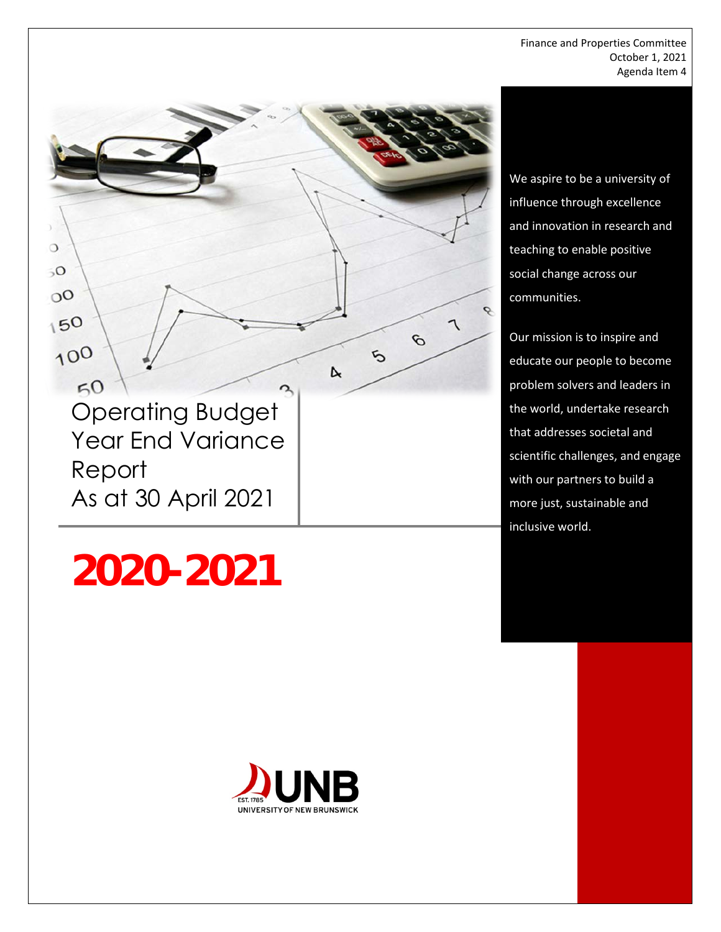Finance and Properties Committee October 1, 2021 Agenda Item 4



# **2020-2021**



We aspire to be a university of influence through excellence and innovation in research and teaching to enable positive social change across our communities.

Our mission is to inspire and educate our people to become problem solvers and leaders in the world, undertake research that addresses societal and scientific challenges, and engage with our partners to build a more just, sustainable and inclusive world.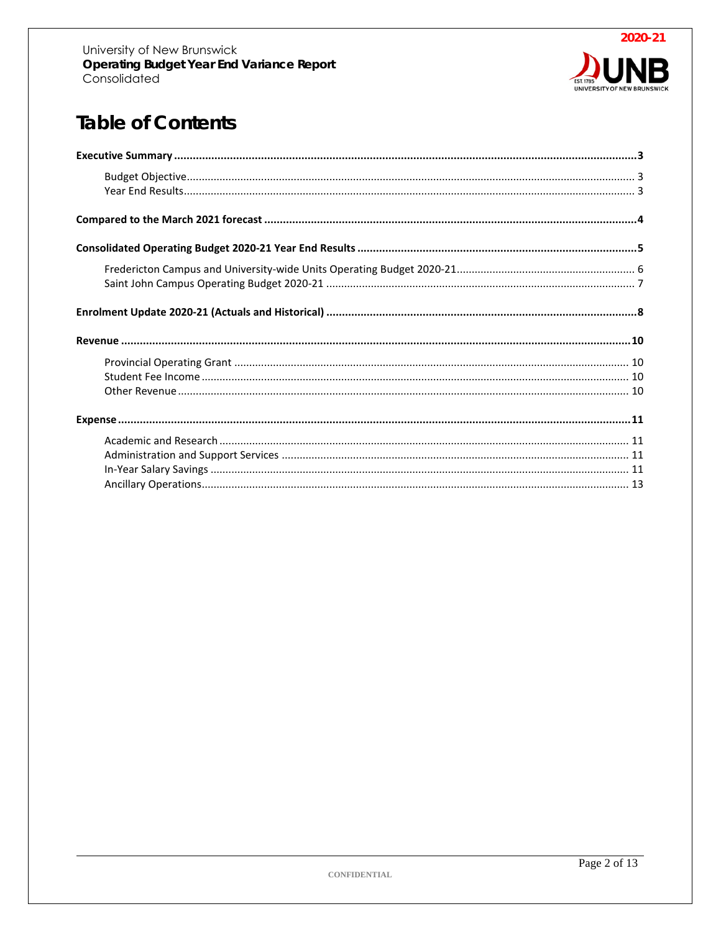

# **Table of Contents**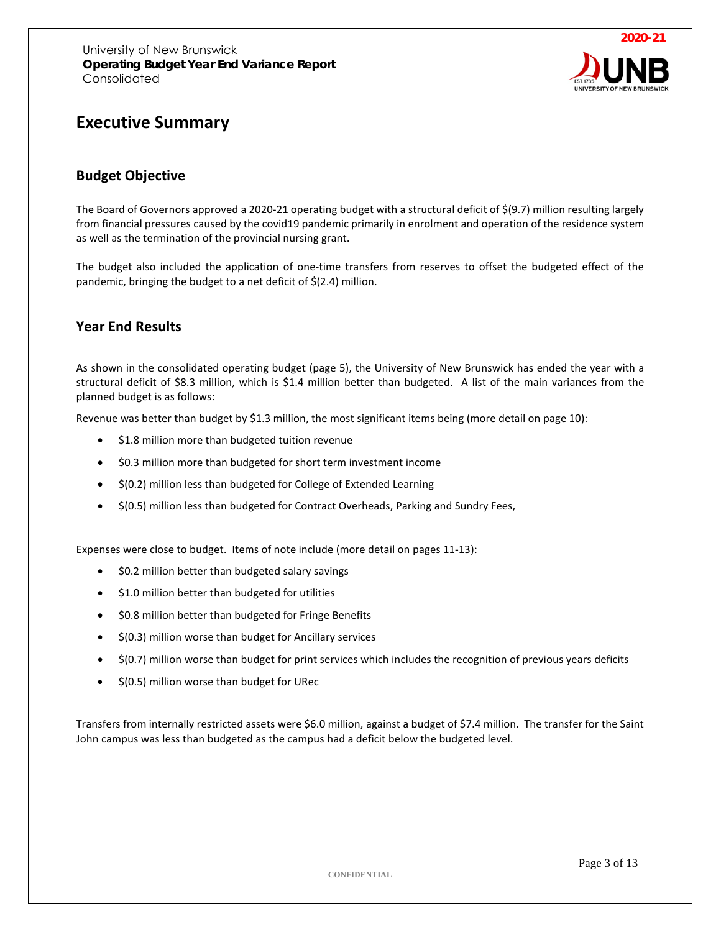

# <span id="page-2-0"></span>**Executive Summary**

#### <span id="page-2-1"></span>**Budget Objective**

The Board of Governors approved a 2020-21 operating budget with a structural deficit of \$(9.7) million resulting largely from financial pressures caused by the covid19 pandemic primarily in enrolment and operation of the residence system as well as the termination of the provincial nursing grant.

The budget also included the application of one-time transfers from reserves to offset the budgeted effect of the pandemic, bringing the budget to a net deficit of \$(2.4) million.

#### <span id="page-2-2"></span>**Year End Results**

As shown in the consolidated operating budget (page 5), the University of New Brunswick has ended the year with a structural deficit of \$8.3 million, which is \$1.4 million better than budgeted. A list of the main variances from the planned budget is as follows:

Revenue was better than budget by \$1.3 million, the most significant items being (more detail on page 10):

- \$1.8 million more than budgeted tuition revenue
- \$0.3 million more than budgeted for short term investment income
- \$(0.2) million less than budgeted for College of Extended Learning
- \$(0.5) million less than budgeted for Contract Overheads, Parking and Sundry Fees,

Expenses were close to budget. Items of note include (more detail on pages 11-13):

- \$0.2 million better than budgeted salary savings
- \$1.0 million better than budgeted for utilities
- \$0.8 million better than budgeted for Fringe Benefits
- \$(0.3) million worse than budget for Ancillary services
- \$(0.7) million worse than budget for print services which includes the recognition of previous years deficits
- \$(0.5) million worse than budget for URec

Transfers from internally restricted assets were \$6.0 million, against a budget of \$7.4 million. The transfer for the Saint John campus was less than budgeted as the campus had a deficit below the budgeted level.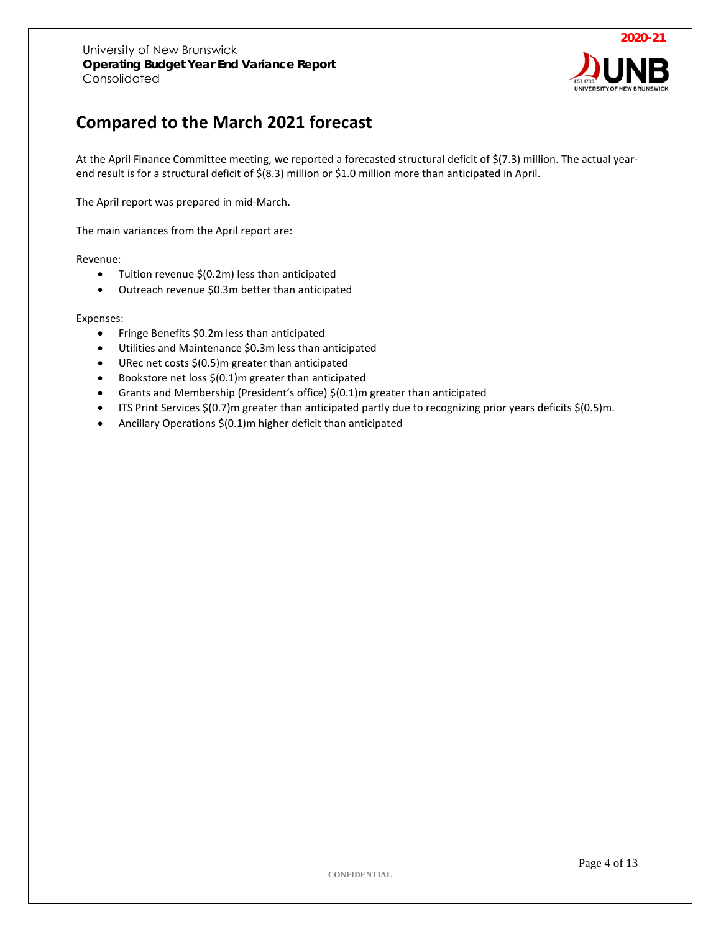

# <span id="page-3-0"></span>**Compared to the March 2021 forecast**

At the April Finance Committee meeting, we reported a forecasted structural deficit of \$(7.3) million. The actual yearend result is for a structural deficit of \$(8.3) million or \$1.0 million more than anticipated in April.

The April report was prepared in mid-March.

The main variances from the April report are:

#### Revenue:

- Tuition revenue \$(0.2m) less than anticipated
- Outreach revenue \$0.3m better than anticipated

#### Expenses:

- Fringe Benefits \$0.2m less than anticipated
- Utilities and Maintenance \$0.3m less than anticipated
- URec net costs  $$$ (0.5)m greater than anticipated
- Bookstore net loss \$(0.1)m greater than anticipated
- Grants and Membership (President's office) \$(0.1)m greater than anticipated
- ITS Print Services \$(0.7)m greater than anticipated partly due to recognizing prior years deficits \$(0.5)m.
- Ancillary Operations \$(0.1)m higher deficit than anticipated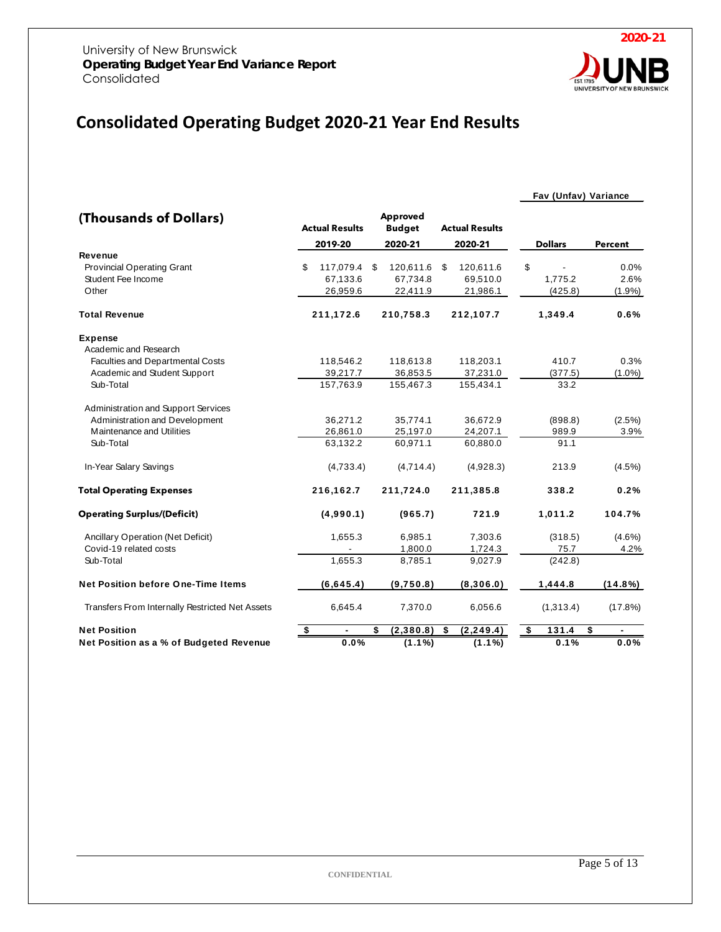

# <span id="page-4-0"></span>**Consolidated Operating Budget 2020-21 Year End Results**

#### **Fav (Unfav) Variance**

| (Thousands of Dollars)                          | <b>Actual Results</b> | Approved<br><b>Budget</b> |                    |    | <b>Actual Results</b> |                |                |
|-------------------------------------------------|-----------------------|---------------------------|--------------------|----|-----------------------|----------------|----------------|
|                                                 | 2019-20               |                           | 2020-21            |    | 2020-21               | <b>Dollars</b> | <b>Percent</b> |
| Revenue                                         |                       |                           |                    |    |                       |                |                |
| <b>Provincial Operating Grant</b>               | \$<br>117,079.4       | S                         | 120,611.6          | \$ | 120,611.6             | \$             | 0.0%           |
| Student Fee Income                              | 67,133.6              |                           | 67,734.8           |    | 69,510.0              | 1,775.2        | 2.6%           |
| Other                                           | 26,959.6              |                           | 22,411.9           |    | 21,986.1              | (425.8)        | $(1.9\%)$      |
| <b>Total Revenue</b>                            | 211,172.6             |                           | 210,758.3          |    | 212,107.7             | 1,349.4        | 0.6%           |
| <b>Expense</b>                                  |                       |                           |                    |    |                       |                |                |
| Academic and Research                           |                       |                           |                    |    |                       |                |                |
| Faculties and Departmental Costs                | 118,546.2             |                           | 118,613.8          |    | 118,203.1             | 410.7          | 0.3%           |
| Academic and Student Support                    | 39,217.7              |                           | 36,853.5           |    | 37,231.0              | (377.5)        | $(1.0\%)$      |
| Sub-Total                                       | 157,763.9             |                           | 155,467.3          |    | 155,434.1             | 33.2           |                |
| Administration and Support Services             |                       |                           |                    |    |                       |                |                |
| Administration and Development                  | 36,271.2              |                           | 35,774.1           |    | 36,672.9              | (898.8)        | $(2.5\%)$      |
| Maintenance and Utilities                       | 26,861.0              |                           | 25,197.0           |    | 24,207.1              | 989.9          | 3.9%           |
| Sub-Total                                       | 63,132.2              |                           | 60,971.1           |    | 60,880.0              | 91.1           |                |
| In-Year Salary Savings                          | (4,733.4)             |                           | (4,714.4)          |    | (4,928.3)             | 213.9          | $(4.5\%)$      |
| <b>Total Operating Expenses</b>                 | 216,162.7             |                           | 211,724.0          |    | 211,385.8             | 338.2          | 0.2%           |
| <b>Operating Surplus/(Deficit)</b>              | (4,990.1)             |                           | (965.7)            |    | 721.9                 | 1,011.2        | 104.7%         |
| <b>Ancillary Operation (Net Deficit)</b>        | 1,655.3               |                           | 6,985.1            |    | 7,303.6               | (318.5)        | $(4.6\%)$      |
| Covid-19 related costs                          |                       |                           | 1,800.0            |    | 1,724.3               | 75.7           | 4.2%           |
| Sub-Total                                       | 1,655.3               |                           | 8,785.1            |    | 9,027.9               | (242.8)        |                |
| <b>Net Position before One-Time Items</b>       | (6,645.4)             |                           | (9,750.8)          |    | (8,306.0)             | 1,444.8        | $(14.8\%)$     |
| Transfers From Internally Restricted Net Assets | 6,645.4               |                           | 7,370.0            |    | 6,056.6               | (1,313.4)      | (17.8%)        |
| <b>Net Position</b>                             | \$                    | \$                        | (2,380.8)          | \$ | (2, 249.4)            | \$<br>131.4    | \$             |
| Net Position as a % of Budgeted Revenue         | 0.0%                  |                           | $(1.1\sqrt[6]{6})$ |    | $(1.1\%)$             | 0.1%           | 0.0%           |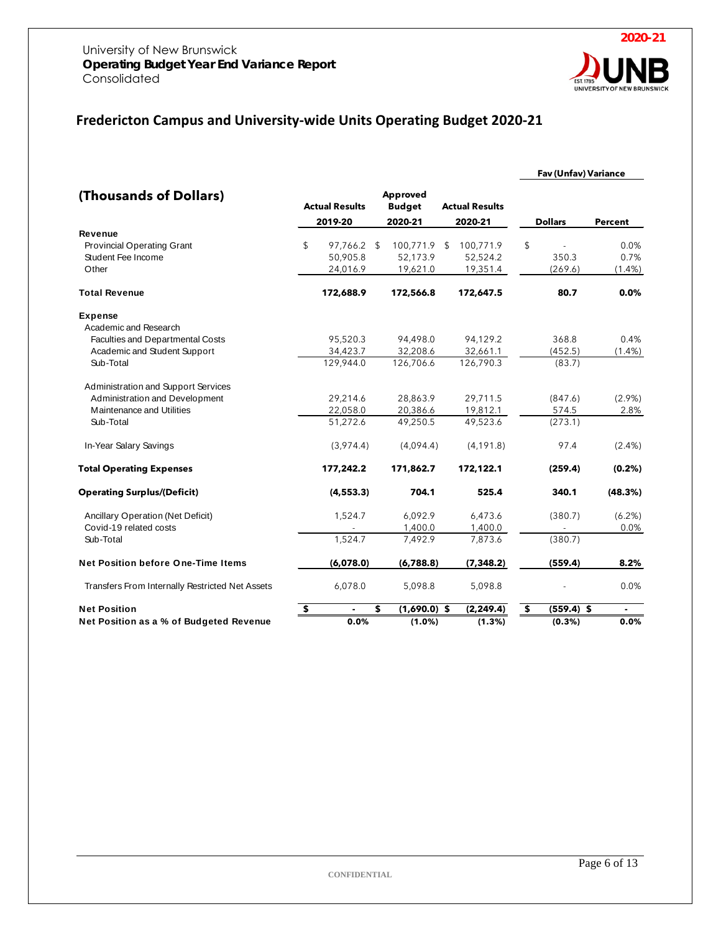

# <span id="page-5-0"></span>**Fredericton Campus and University-wide Units Operating Budget 2020-21**

|                                                                             |    |                                     |                                      |                       |                                   |                | <b>Fav (Unfav) Variance</b> |                           |
|-----------------------------------------------------------------------------|----|-------------------------------------|--------------------------------------|-----------------------|-----------------------------------|----------------|-----------------------------|---------------------------|
| (Thousands of Dollars)                                                      |    | <b>Actual Results</b>               | Approved<br><b>Budget</b>            | <b>Actual Results</b> |                                   |                |                             |                           |
|                                                                             |    | 2019-20                             | 2020-21                              |                       | 2020-21                           |                | <b>Dollars</b>              | <b>Percent</b>            |
| Revenue<br><b>Provincial Operating Grant</b><br>Student Fee Income<br>Other | \$ | 97,766.2 \$<br>50,905.8<br>24,016.9 | 100,771.9 \$<br>52,173.9<br>19,621.0 |                       | 100,771.9<br>52,524.2<br>19,351.4 | $\mathfrak{L}$ | 350.3<br>(269.6)            | 0.0%<br>0.7%<br>$(1.4\%)$ |
| <b>Total Revenue</b>                                                        |    | 172,688.9                           | 172,566.8                            |                       | 172,647.5                         |                | 80.7                        | 0.0%                      |
| <b>Expense</b><br>Academic and Research                                     |    |                                     |                                      |                       |                                   |                |                             |                           |
| Faculties and Departmental Costs                                            |    | 95,520.3                            | 94,498.0                             |                       | 94,129.2                          |                | 368.8                       | 0.4%                      |
| Academic and Student Support                                                |    | 34,423.7                            | 32,208.6                             |                       | 32,661.1                          |                | (452.5)                     | $(1.4\%)$                 |
| Sub-Total                                                                   |    | 129,944.0                           | 126,706.6                            |                       | 126,790.3                         |                | (83.7)                      |                           |
| Administration and Support Services                                         |    |                                     |                                      |                       |                                   |                |                             |                           |
| Administration and Development<br>Maintenance and Utilities                 |    | 29,214.6                            | 28,863.9                             |                       | 29,711.5                          |                | (847.6)                     | $(2.9\%)$                 |
| Sub-Total                                                                   |    | 22,058.0<br>51,272.6                | 20,386.6<br>49.250.5                 |                       | 19,812.1<br>49,523.6              |                | 574.5<br>(273.1)            | 2.8%                      |
| In-Year Salary Savings                                                      |    | (3,974.4)                           | (4,094.4)                            |                       | (4, 191.8)                        |                | 97.4                        | $(2.4\%)$                 |
| <b>Total Operating Expenses</b>                                             |    | 177,242.2                           | 171,862.7                            |                       | 172,122.1                         |                | (259.4)                     | (0.2% )                   |
| <b>Operating Surplus/(Deficit)</b>                                          |    | (4, 553.3)                          | 704.1                                |                       | 525.4                             |                | 340.1                       | (48.3%)                   |
| Ancillary Operation (Net Deficit)                                           |    | 1,524.7                             | 6,092.9                              |                       | 6,473.6                           |                | (380.7)                     | (6.2%)                    |
| Covid-19 related costs                                                      |    |                                     | 1,400.0                              |                       | 1,400.0                           |                | ÷,                          | 0.0%                      |
| Sub-Total                                                                   |    | 1,524.7                             | 7,492.9                              |                       | 7,873.6                           |                | (380.7)                     |                           |
| Net Position before One-Time Items                                          |    | (6,078.0)                           | (6,788.8)                            |                       | (7, 348.2)                        |                | (559.4)                     | 8.2%                      |
| Transfers From Internally Restricted Net Assets                             |    | 6,078.0                             | 5,098.8                              |                       | 5,098.8                           |                |                             | 0.0%                      |
| <b>Net Position</b>                                                         | \$ |                                     | \$<br>$(1,690.0)$ \$                 |                       | (2, 249.4)                        | \$             | $(559.4)$ \$                |                           |
| Net Position as a % of Budgeted Revenue                                     |    | 0.0%                                | $(1.0\%)$                            |                       | $(1.3\%)$                         |                | $(0.3\%)$                   | 0.0%                      |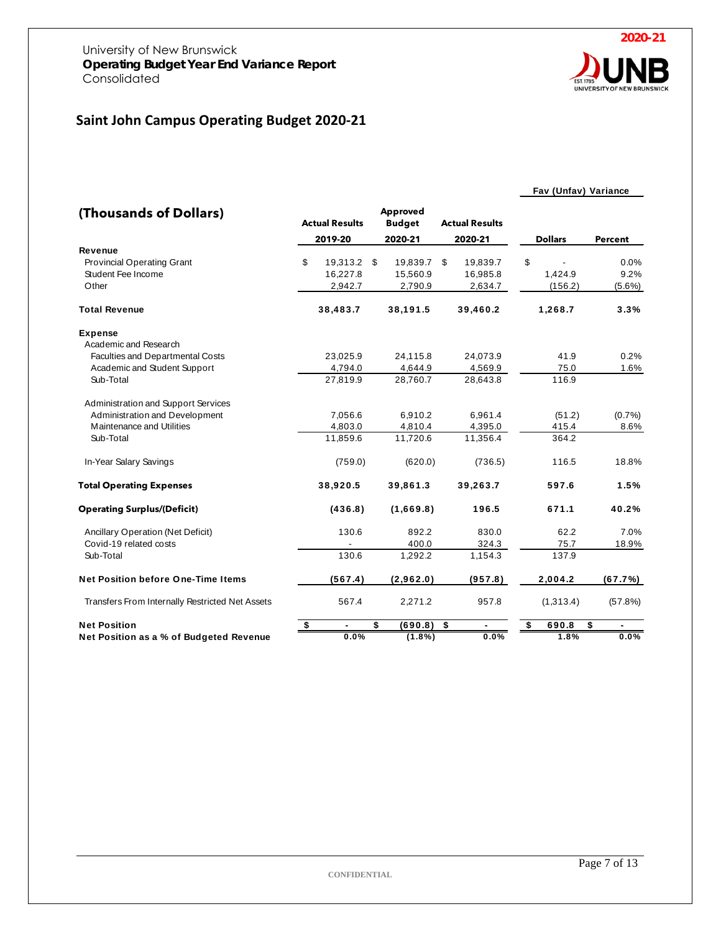# <span id="page-6-0"></span>**Saint John Campus Operating Budget 2020-21**

#### **Fav (Unfav) Variance**

| (Thousands of Dollars)                          |                                      | <b>Actual Results</b> | Approved<br><b>Budget</b> |           |    | <b>Actual Results</b> |                |                |
|-------------------------------------------------|--------------------------------------|-----------------------|---------------------------|-----------|----|-----------------------|----------------|----------------|
|                                                 |                                      | 2019-20               |                           | 2020-21   |    | 2020-21               | <b>Dollars</b> | <b>Percent</b> |
| Revenue                                         |                                      |                       |                           |           |    |                       |                |                |
| <b>Provincial Operating Grant</b>               | \$                                   | 19,313.2              | \$                        | 19,839.7  | \$ | 19,839.7              | \$             | 0.0%           |
| Student Fee Income                              |                                      | 16,227.8              |                           | 15,560.9  |    | 16,985.8              | 1,424.9        | 9.2%           |
| Other                                           |                                      | 2,942.7               |                           | 2,790.9   |    | 2,634.7               | (156.2)        | $(5.6\%)$      |
| <b>Total Revenue</b>                            |                                      | 38,483.7              |                           | 38,191.5  |    | 39,460.2              | 1,268.7        | 3.3%           |
| <b>Expense</b>                                  |                                      |                       |                           |           |    |                       |                |                |
| Academic and Research                           |                                      |                       |                           |           |    |                       |                |                |
| Faculties and Departmental Costs                |                                      | 23,025.9              |                           | 24,115.8  |    | 24,073.9              | 41.9           | 0.2%           |
| Academic and Student Support                    |                                      | 4,794.0               |                           | 4,644.9   |    | 4,569.9               | 75.0           | 1.6%           |
| Sub-Total                                       |                                      | 27,819.9              |                           | 28,760.7  |    | 28,643.8              | 116.9          |                |
| Administration and Support Services             |                                      |                       |                           |           |    |                       |                |                |
| Administration and Development                  |                                      | 7,056.6               |                           | 6,910.2   |    | 6,961.4               | (51.2)         | (0.7%          |
| Maintenance and Utilities                       |                                      | 4,803.0               |                           | 4,810.4   |    | 4,395.0               | 415.4          | 8.6%           |
| Sub-Total                                       |                                      | 11.859.6              |                           | 11,720.6  |    | 11.356.4              | 364.2          |                |
| In-Year Salary Savings                          |                                      | (759.0)               |                           | (620.0)   |    | (736.5)               | 116.5          | 18.8%          |
| <b>Total Operating Expenses</b>                 |                                      | 38,920.5              |                           | 39,861.3  |    | 39,263.7              | 597.6          | 1.5%           |
| <b>Operating Surplus/(Deficit)</b>              |                                      | (436.8)               |                           | (1,669.8) |    | 196.5                 | 671.1          | 40.2%          |
| Ancillary Operation (Net Deficit)               |                                      | 130.6                 |                           | 892.2     |    | 830.0                 | 62.2           | 7.0%           |
| Covid-19 related costs                          |                                      |                       |                           | 400.0     |    | 324.3                 | 75.7           | 18.9%          |
| Sub-Total                                       |                                      | 130.6                 |                           | 1,292.2   |    | 1,154.3               | 137.9          |                |
| <b>Net Position before One-Time Items</b>       |                                      | (567.4)               |                           | (2,962.0) |    | (957.8)               | 2,004.2        | (67.7%)        |
| Transfers From Internally Restricted Net Assets |                                      | 567.4                 |                           | 2,271.2   |    | 957.8                 | (1,313.4)      | (57.8%)        |
| <b>Net Position</b>                             | $\overline{\boldsymbol{\mathsf{s}}}$ |                       | \$                        | (690.8)   | \$ |                       | \$<br>690.8    | \$             |
| Net Position as a % of Budgeted Revenue         |                                      | 0.0%                  |                           | $(1.8\%)$ |    | 0.0%                  | 1.8%           | 0.0%           |

**2020-21** UNIVERSITY OF NI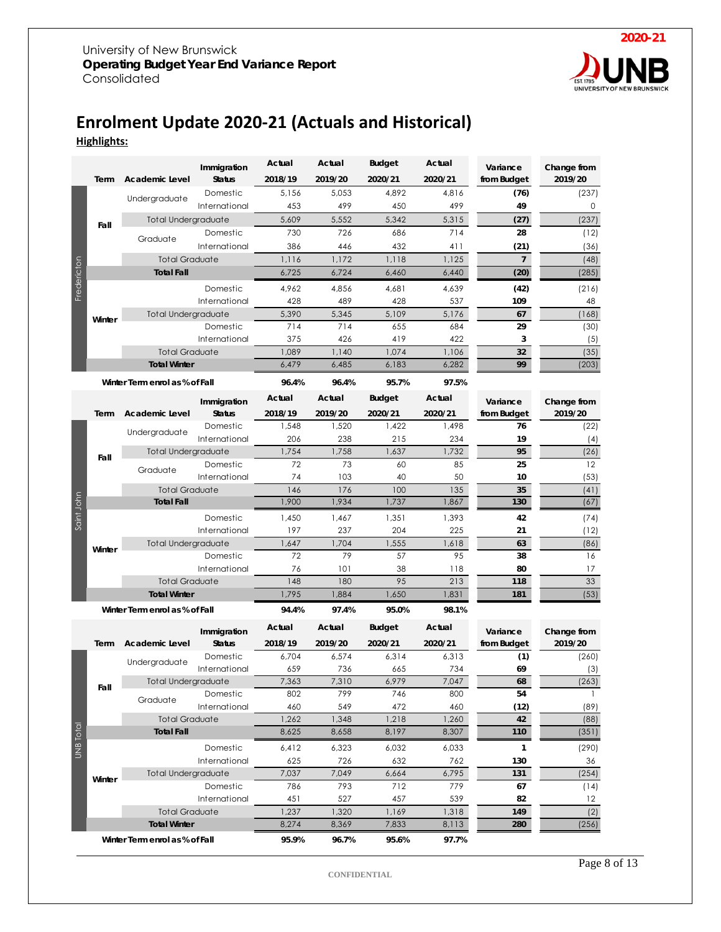

## <span id="page-7-0"></span>**Enrolment Update 2020-21 (Actuals and Historical) Highlights:**

|             |        |                                | Immigration   | Actual  | Actual  | <b>Budget</b> | Actual  | Variance       | Change from  |
|-------------|--------|--------------------------------|---------------|---------|---------|---------------|---------|----------------|--------------|
|             | Term   | Academic Level                 | <b>Status</b> | 2018/19 | 2019/20 | 2020/21       | 2020/21 | from Budget    | 2019/20      |
|             |        |                                | Domestic      | 5,156   | 5,053   | 4,892         | 4,816   | (76)           | (237)        |
|             |        | Undergraduate                  | International | 453     | 499     | 450           | 499     | 49             | 0            |
|             |        | <b>Total Undergraduate</b>     |               | 5,609   | 5,552   | 5,342         | 5,315   | (27)           | (237)        |
|             | Fall   | Graduate                       | Domestic      | 730     | 726     | 686           | 714     | 28             | (12)         |
|             |        |                                | International | 386     | 446     | 432           | 411     | (21)           | (36)         |
|             |        | <b>Total Graduate</b>          |               | 1,116   | 1,172   | 1,118         | 1,125   | $\overline{7}$ | (48)         |
| Fredericton |        | <b>Total Fall</b>              |               | 6,725   | 6,724   | 6,460         | 6,440   | (20)           | (285)        |
|             |        |                                | Domestic      | 4,962   | 4,856   | 4,681         | 4,639   | (42)           | (216)        |
|             |        |                                | International | 428     | 489     | 428           | 537     | 109            | 48           |
|             | Winter | <b>Total Undergraduate</b>     |               | 5,390   | 5,345   | 5,109         | 5,176   | 67             | (168)        |
|             |        |                                | Domestic      | 714     | 714     | 655           | 684     | 29             | (30)         |
|             |        |                                | International | 375     | 426     | 419           | 422     | 3              | (5)          |
|             |        | <b>Total Graduate</b>          |               | 1,089   | 1,140   | 1,074         | 1,106   | 32             | (35)         |
|             |        | <b>Total Winter</b>            |               | 6,479   | 6,485   | 6,183         | 6,282   | 99             | (203)        |
|             |        | Winter Term enrol as % of Fall |               | 96.4%   | 96.4%   | 95.7%         | 97.5%   |                |              |
|             |        |                                | Immigration   | Actual  | Actual  | <b>Budget</b> | Actual  | Variance       | Change from  |
|             | Term   | Academic Level                 | <b>Status</b> | 2018/19 | 2019/20 | 2020/21       | 2020/21 | from Budget    | 2019/20      |
|             |        |                                | Domestic      | 1,548   | 1,520   | 1.422         | 1,498   | 76             | (22)         |
|             |        | Undergraduate                  | International | 206     | 238     | 215           | 234     | 19             | (4)          |
|             |        | <b>Total Undergraduate</b>     |               | 1,754   | 1,758   | 1,637         | 1,732   | 95             | (26)         |
|             | Fall   | Graduate                       | Domestic      | 72      | 73      | 60            | 85      | 25             | 12           |
|             |        |                                | International | 74      | 103     | 40            | 50      | 10             | (53)         |
|             |        | <b>Total Graduate</b>          |               | 146     | 176     | 100           | 135     | 35             | (41)         |
| Saint John  |        | <b>Total Fall</b>              |               | 1,900   | 1,934   | 1,737         | 1,867   | 130            | (67)         |
|             |        |                                | Domestic      | 1,450   | 1,467   | 1,351         | 1,393   | 42             | (74)         |
|             |        |                                | International | 197     | 237     | 204           | 225     | 21             | (12)         |
|             | Winter | Total Undergraduate            |               | 1,647   | 1,704   | 1,555         | 1,618   | 63             | (86)         |
|             |        |                                | Domestic      | 72      | 79      | 57            | 95      | 38             | 16           |
|             |        |                                | International | 76      | 101     | 38            | 118     | 80             | 17           |
|             |        | <b>Total Graduate</b>          |               | 148     | 180     | 95            | 213     | 118            | 33           |
|             |        | <b>Total Winter</b>            |               | 1,795   | 1,884   | 1,650         | 1,831   | 181            | (53)         |
|             |        | Winter Term enrol as % of Fall |               | 94.4%   | 97.4%   | 95.0%         | 98.1%   |                |              |
|             |        |                                | Immigration   | Actual  | Actual  | <b>Budget</b> | Actual  | Variance       | Change from  |
|             | Term   | <b>Academic Level</b>          | <b>Status</b> | 2018/19 | 2019/20 | 2020/21       | 2020/21 | from Budget    | 2019/20      |
|             |        |                                | Domestic      | 6,704   | 6,574   | 6,314         | 6,313   | (1)            | (260)        |
|             |        | Undergraduate                  | International | 659     | 736     | 665           | 734     | 69             | (3)          |
|             | Fall   | Total Undergraduate            |               | 7,363   | 7,310   | 6,979         | 7,047   | 68             | (263)        |
|             |        | Graduate                       | Domestic      | 802     | 799     | 746           | 800     | 54             | $\mathbf{1}$ |
|             |        |                                | International | 460     | 549     | 472           | 460     | (12)           | (89)         |
|             |        | <b>Total Graduate</b>          |               | 1,262   | 1,348   | 1,218         | 1,260   | 42             | (88)         |
|             |        | <b>Total Fall</b>              |               | 8,625   | 8,658   | 8,197         | 8,307   | 110            | (351)        |
| UNB Total   |        |                                | Domestic      | 6,412   | 6,323   | 6,032         | 6,033   | 1              | (290)        |
|             |        |                                | International | 625     | 726     | 632           | 762     | 130            | 36           |
|             | Winter | Total Undergraduate            |               | 7,037   | 7,049   | 6,664         | 6,795   | 131            | (254)        |
|             |        |                                | Domestic      | 786     | 793     | 712           | 779     | 67             | (14)         |
|             |        |                                | International | 451     | 527     | 457           | 539     | 82             | 12           |
|             |        | <b>Total Graduate</b>          |               | 1,237   | 1,320   | 1,169         | 1,318   | 149            | (2)          |
|             |        | <b>Total Winter</b>            |               | 8,274   | 8,369   | 7,833         | 8,113   | 280            | (256)        |
|             |        | Winter Term enrol as % of Fall |               | 95.9%   | 96.7%   | 95.6%         | 97.7%   |                |              |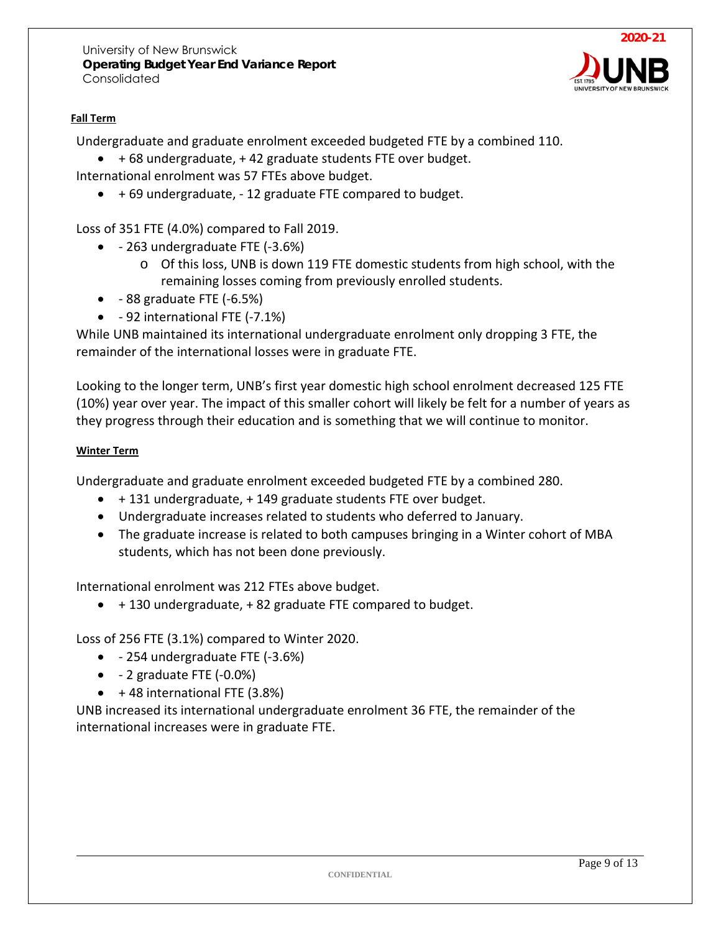

#### **Fall Term**

Undergraduate and graduate enrolment exceeded budgeted FTE by a combined 110.

• + 68 undergraduate, + 42 graduate students FTE over budget.

International enrolment was 57 FTEs above budget.

• + 69 undergraduate, - 12 graduate FTE compared to budget.

Loss of 351 FTE (4.0%) compared to Fall 2019.

- - 263 undergraduate FTE (-3.6%)
	- o Of this loss, UNB is down 119 FTE domestic students from high school, with the remaining losses coming from previously enrolled students.
- $\bullet$  88 graduate FTE (-6.5%)
- - 92 international FTE (-7.1%)

While UNB maintained its international undergraduate enrolment only dropping 3 FTE, the remainder of the international losses were in graduate FTE.

Looking to the longer term, UNB's first year domestic high school enrolment decreased 125 FTE (10%) year over year. The impact of this smaller cohort will likely be felt for a number of years as they progress through their education and is something that we will continue to monitor.

#### **Winter Term**

Undergraduate and graduate enrolment exceeded budgeted FTE by a combined 280.

- + 131 undergraduate, + 149 graduate students FTE over budget.
- Undergraduate increases related to students who deferred to January.
- The graduate increase is related to both campuses bringing in a Winter cohort of MBA students, which has not been done previously.

International enrolment was 212 FTEs above budget.

• + 130 undergraduate, + 82 graduate FTE compared to budget.

Loss of 256 FTE (3.1%) compared to Winter 2020.

- - 254 undergraduate FTE (-3.6%)
- - 2 graduate FTE (-0.0%)
- $\bullet$  +48 international FTE (3.8%)

UNB increased its international undergraduate enrolment 36 FTE, the remainder of the international increases were in graduate FTE.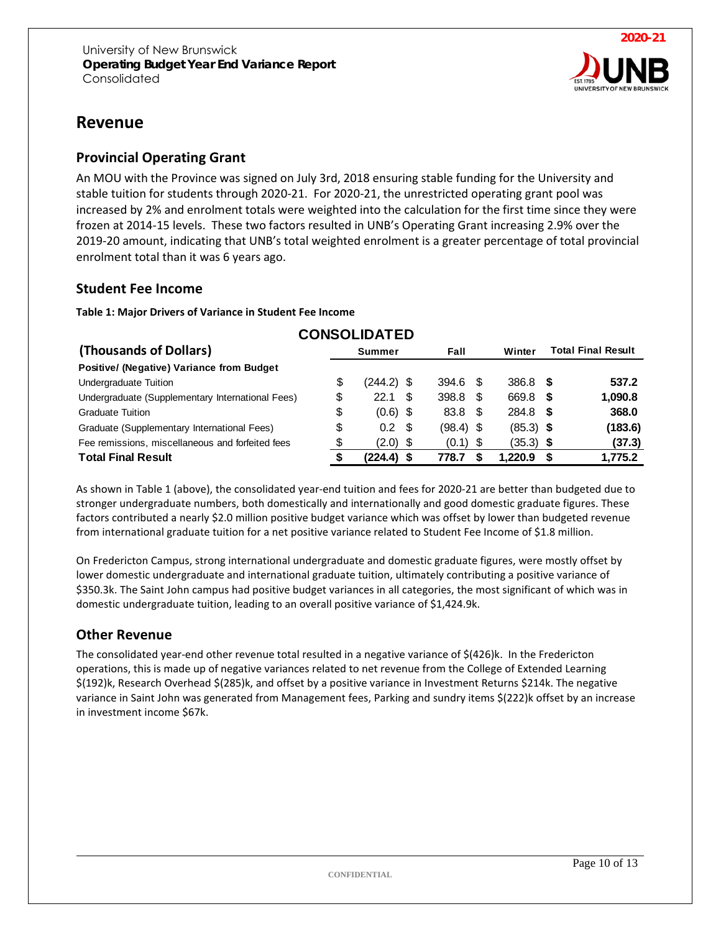

# <span id="page-9-0"></span>**Revenue**

#### <span id="page-9-1"></span>**Provincial Operating Grant**

An MOU with the Province was signed on July 3rd, 2018 ensuring stable funding for the University and stable tuition for students through 2020-21. For 2020-21, the unrestricted operating grant pool was increased by 2% and enrolment totals were weighted into the calculation for the first time since they were frozen at 2014-15 levels. These two factors resulted in UNB's Operating Grant increasing 2.9% over the 2019-20 amount, indicating that UNB's total weighted enrolment is a greater percentage of total provincial enrolment total than it was 6 years ago.

#### <span id="page-9-2"></span>**Student Fee Income**

**Table 1: Major Drivers of Variance in Student Fee Income**

|                                                  |    | <b>UUNJULIDAI ED</b> |             |             |                           |         |  |
|--------------------------------------------------|----|----------------------|-------------|-------------|---------------------------|---------|--|
| (Thousands of Dollars)                           |    | <b>Summer</b>        | Fall        | Winter      | <b>Total Final Result</b> |         |  |
| Positive/ (Negative) Variance from Budget        |    |                      |             |             |                           |         |  |
| Undergraduate Tuition                            | S  | $(244.2)$ \$         | 394.6 \$    | $386.8$ \$  |                           | 537.2   |  |
| Undergraduate (Supplementary International Fees) | \$ | -S<br>22.1           | $398.8$ \$  | 669.8       | \$                        | 1,090.8 |  |
| <b>Graduate Tuition</b>                          | \$ | $(0.6)$ \$           | 83.8 \$     | 284.8       | -S                        | 368.0   |  |
| Graduate (Supplementary International Fees)      | \$ | $0.2 \text{ } $$     | $(98.4)$ \$ | $(85.3)$ \$ |                           | (183.6) |  |
| Fee remissions, miscellaneous and forfeited fees | \$ | $(2.0)$ \$           | $(0.1)$ \$  | $(35.3)$ \$ |                           | (37.3)  |  |
| <b>Total Final Result</b>                        |    | (224.4) \$           | 778.7       | 1.220.9     | £.                        | 1,775.2 |  |

**CONSOLIDATED** 

As shown in Table 1 (above), the consolidated year-end tuition and fees for 2020-21 are better than budgeted due to stronger undergraduate numbers, both domestically and internationally and good domestic graduate figures. These factors contributed a nearly \$2.0 million positive budget variance which was offset by lower than budgeted revenue from international graduate tuition for a net positive variance related to Student Fee Income of \$1.8 million.

On Fredericton Campus, strong international undergraduate and domestic graduate figures, were mostly offset by lower domestic undergraduate and international graduate tuition, ultimately contributing a positive variance of \$350.3k. The Saint John campus had positive budget variances in all categories, the most significant of which was in domestic undergraduate tuition, leading to an overall positive variance of \$1,424.9k.

#### <span id="page-9-3"></span>**Other Revenue**

The consolidated year-end other revenue total resulted in a negative variance of \$(426)k. In the Fredericton operations, this is made up of negative variances related to net revenue from the College of Extended Learning \$(192)k, Research Overhead \$(285)k, and offset by a positive variance in Investment Returns \$214k. The negative variance in Saint John was generated from Management fees, Parking and sundry items \$(222)k offset by an increase in investment income \$67k.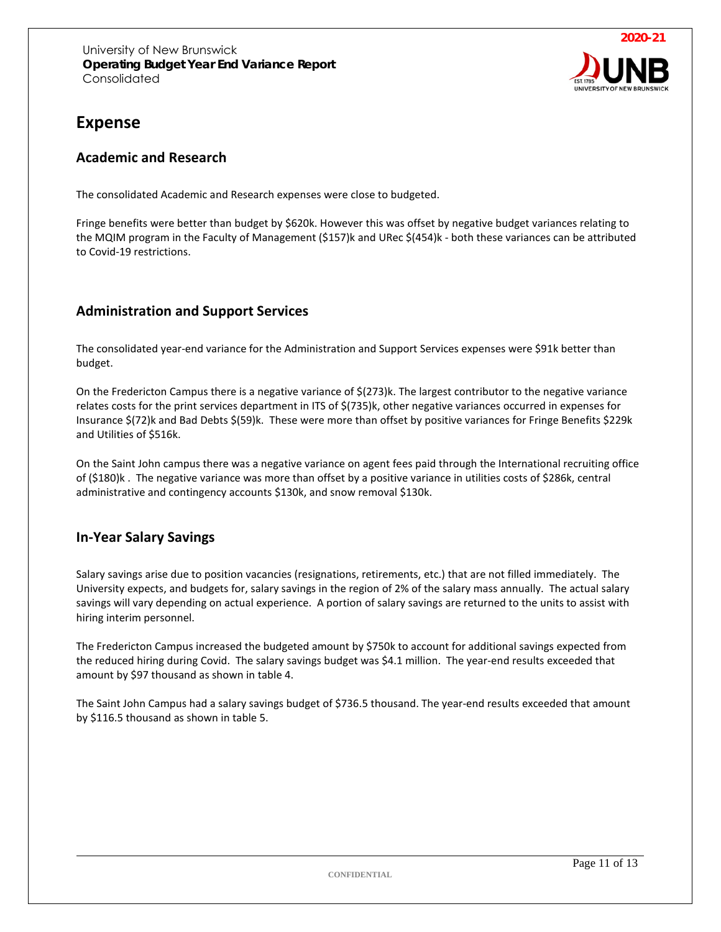

# <span id="page-10-0"></span>**Expense**

#### <span id="page-10-1"></span>**Academic and Research**

The consolidated Academic and Research expenses were close to budgeted.

Fringe benefits were better than budget by \$620k. However this was offset by negative budget variances relating to the MQIM program in the Faculty of Management (\$157)k and URec \$(454)k - both these variances can be attributed to Covid-19 restrictions.

#### <span id="page-10-2"></span>**Administration and Support Services**

The consolidated year-end variance for the Administration and Support Services expenses were \$91k better than budget.

On the Fredericton Campus there is a negative variance of \$(273)k. The largest contributor to the negative variance relates costs for the print services department in ITS of \$(735)k, other negative variances occurred in expenses for Insurance \$(72)k and Bad Debts \$(59)k. These were more than offset by positive variances for Fringe Benefits \$229k and Utilities of \$516k.

On the Saint John campus there was a negative variance on agent fees paid through the International recruiting office of (\$180)k . The negative variance was more than offset by a positive variance in utilities costs of \$286k, central administrative and contingency accounts \$130k, and snow removal \$130k.

### <span id="page-10-3"></span>**In-Year Salary Savings**

Salary savings arise due to position vacancies (resignations, retirements, etc.) that are not filled immediately. The University expects, and budgets for, salary savings in the region of 2% of the salary mass annually. The actual salary savings will vary depending on actual experience. A portion of salary savings are returned to the units to assist with hiring interim personnel.

The Fredericton Campus increased the budgeted amount by \$750k to account for additional savings expected from the reduced hiring during Covid. The salary savings budget was \$4.1 million. The year-end results exceeded that amount by \$97 thousand as shown in table 4.

The Saint John Campus had a salary savings budget of \$736.5 thousand. The year-end results exceeded that amount by \$116.5 thousand as shown in table 5.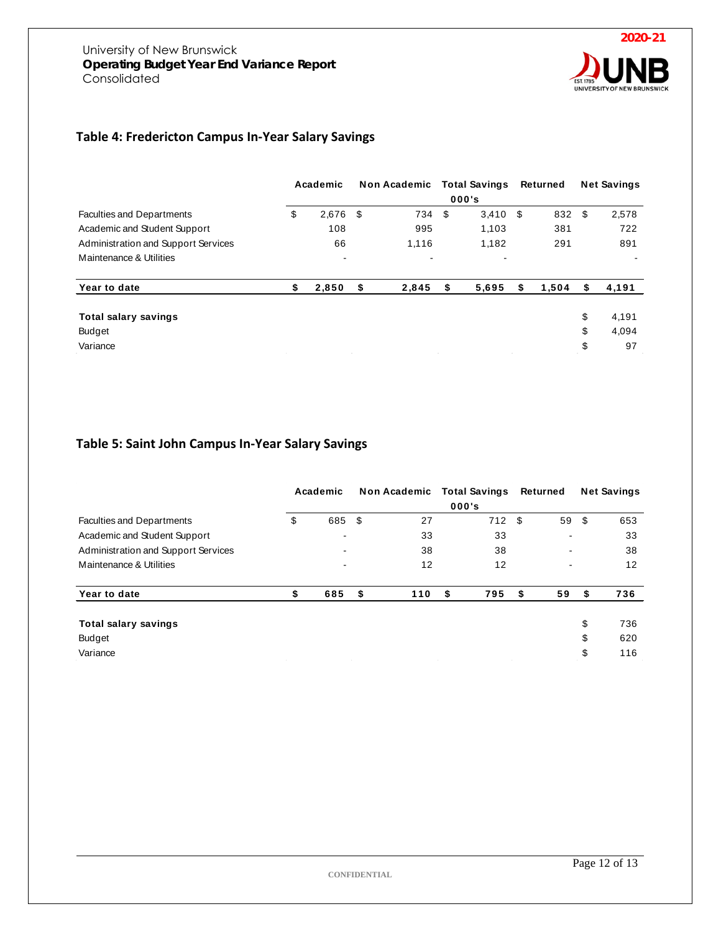

#### **Table 4: Fredericton Campus In-Year Salary Savings**

|                                                                     |           | Academic       | Non Academic   |   | <b>Total Savings</b> |     | Returned | <b>Net Savings</b> |
|---------------------------------------------------------------------|-----------|----------------|----------------|---|----------------------|-----|----------|--------------------|
|                                                                     |           |                |                |   | 000's                |     |          |                    |
| <b>Faculties and Departments</b>                                    | \$        | 2,676          | \$<br>734 \$   |   | 3,410                | -\$ | 832      | \$<br>2,578        |
| Academic and Student Support<br>Administration and Support Services | 108<br>66 |                | 995            |   | 1,103                |     | 381      | 722                |
|                                                                     |           |                | 1,116          |   | 1,182                |     | 291      | 891                |
| Maintenance & Utilities                                             | ۰         | $\blacksquare$ | $\blacksquare$ |   |                      |     |          |                    |
| Year to date                                                        | \$        | 2,850          | \$<br>2,845    | S | 5,695                | S   | 1,504    | 4,191              |
| Total salary savings                                                |           |                |                |   |                      |     |          | \$<br>4,191        |
| Budget                                                              |           |                |                |   |                      |     |          | \$<br>4,094        |
| Variance                                                            |           |                |                |   |                      |     |          | \$<br>97           |

#### **Table 5: Saint John Campus In-Year Salary Savings**

|                                                                     |    | Academic                 |           | Non Academic Total Savings<br>000's | Returned                 | <b>Net Savings</b> |     |
|---------------------------------------------------------------------|----|--------------------------|-----------|-------------------------------------|--------------------------|--------------------|-----|
| <b>Faculties and Departments</b>                                    | \$ | 685                      | \$<br>27  | 712                                 | \$<br>59                 | - \$               | 653 |
| Academic and Student Support<br>Administration and Support Services |    | -                        | 33        | 33                                  | $\overline{\phantom{0}}$ |                    | 33  |
|                                                                     |    | $\overline{\phantom{0}}$ | 38        | 38                                  | $\overline{\phantom{0}}$ |                    | 38  |
| Maintenance & Utilities                                             |    | ۰                        | 12        | 12                                  | $\overline{\phantom{0}}$ |                    | 12  |
| Year to date                                                        | S  | 685                      | \$<br>110 | 795<br>-S                           | \$<br>59                 | S                  | 736 |
| <b>Total salary savings</b>                                         |    |                          |           |                                     |                          | \$                 | 736 |
| <b>Budget</b>                                                       |    |                          |           |                                     |                          | \$                 | 620 |
| Variance                                                            |    |                          |           |                                     |                          | \$                 | 116 |